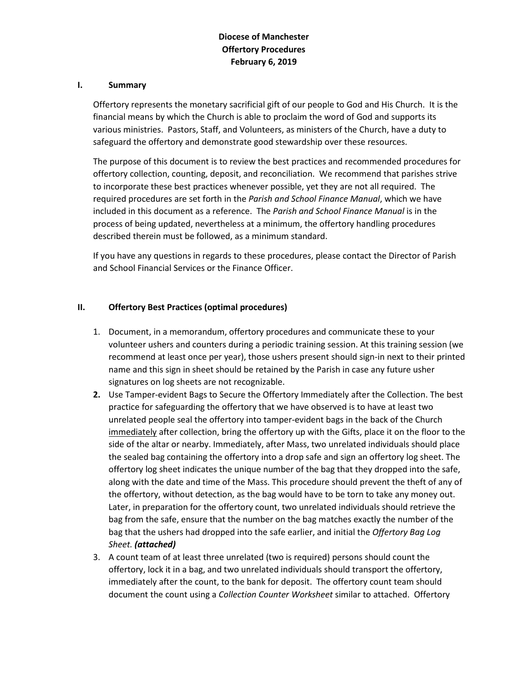#### **I. Summary**

Offertory represents the monetary sacrificial gift of our people to God and His Church. It is the financial means by which the Church is able to proclaim the word of God and supports its various ministries. Pastors, Staff, and Volunteers, as ministers of the Church, have a duty to safeguard the offertory and demonstrate good stewardship over these resources.

The purpose of this document is to review the best practices and recommended procedures for offertory collection, counting, deposit, and reconciliation. We recommend that parishes strive to incorporate these best practices whenever possible, yet they are not all required. The required procedures are set forth in the *Parish and School Finance Manual*, which we have included in this document as a reference. The *Parish and School Finance Manual* is in the process of being updated, nevertheless at a minimum, the offertory handling procedures described therein must be followed, as a minimum standard.

If you have any questions in regards to these procedures, please contact the Director of Parish and School Financial Services or the Finance Officer.

#### **II. Offertory Best Practices (optimal procedures)**

- 1. Document, in a memorandum, offertory procedures and communicate these to your volunteer ushers and counters during a periodic training session. At this training session (we recommend at least once per year), those ushers present should sign-in next to their printed name and this sign in sheet should be retained by the Parish in case any future usher signatures on log sheets are not recognizable.
- **2.** Use Tamper-evident Bags to Secure the Offertory Immediately after the Collection. The best practice for safeguarding the offertory that we have observed is to have at least two unrelated people seal the offertory into tamper-evident bags in the back of the Church immediately after collection, bring the offertory up with the Gifts, place it on the floor to the side of the altar or nearby. Immediately, after Mass, two unrelated individuals should place the sealed bag containing the offertory into a drop safe and sign an offertory log sheet. The offertory log sheet indicates the unique number of the bag that they dropped into the safe, along with the date and time of the Mass. This procedure should prevent the theft of any of the offertory, without detection, as the bag would have to be torn to take any money out. Later, in preparation for the offertory count, two unrelated individuals should retrieve the bag from the safe, ensure that the number on the bag matches exactly the number of the bag that the ushers had dropped into the safe earlier, and initial the *Offertory Bag Log Sheet. (attached)*
- 3. A count team of at least three unrelated (two is required) persons should count the offertory, lock it in a bag, and two unrelated individuals should transport the offertory, immediately after the count, to the bank for deposit. The offertory count team should document the count using a *Collection Counter Worksheet* similar to attached. Offertory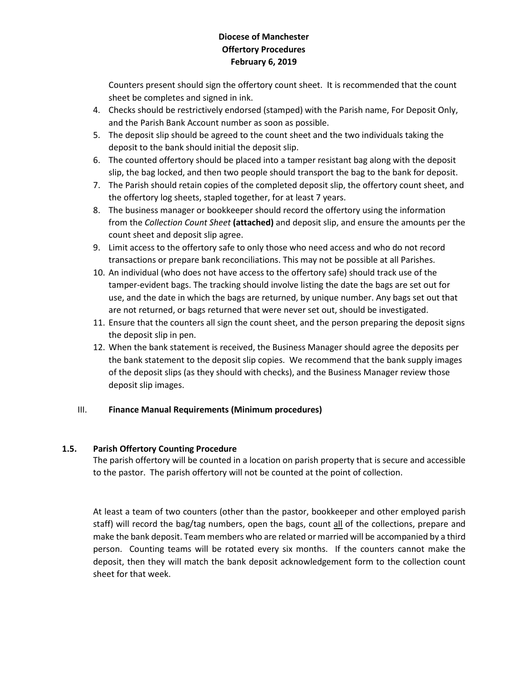Counters present should sign the offertory count sheet. It is recommended that the count sheet be completes and signed in ink.

- 4. Checks should be restrictively endorsed (stamped) with the Parish name, For Deposit Only, and the Parish Bank Account number as soon as possible.
- 5. The deposit slip should be agreed to the count sheet and the two individuals taking the deposit to the bank should initial the deposit slip.
- 6. The counted offertory should be placed into a tamper resistant bag along with the deposit slip, the bag locked, and then two people should transport the bag to the bank for deposit.
- 7. The Parish should retain copies of the completed deposit slip, the offertory count sheet, and the offertory log sheets, stapled together, for at least 7 years.
- 8. The business manager or bookkeeper should record the offertory using the information from the *Collection Count Sheet* **(attached)** and deposit slip, and ensure the amounts per the count sheet and deposit slip agree.
- 9. Limit access to the offertory safe to only those who need access and who do not record transactions or prepare bank reconciliations. This may not be possible at all Parishes.
- 10. An individual (who does not have access to the offertory safe) should track use of the tamper-evident bags. The tracking should involve listing the date the bags are set out for use, and the date in which the bags are returned, by unique number. Any bags set out that are not returned, or bags returned that were never set out, should be investigated.
- 11. Ensure that the counters all sign the count sheet, and the person preparing the deposit signs the deposit slip in pen.
- 12. When the bank statement is received, the Business Manager should agree the deposits per the bank statement to the deposit slip copies. We recommend that the bank supply images of the deposit slips (as they should with checks), and the Business Manager review those deposit slip images.

## III. **Finance Manual Requirements (Minimum procedures)**

## **1.5. Parish Offertory Counting Procedure**

The parish offertory will be counted in a location on parish property that is secure and accessible to the pastor. The parish offertory will not be counted at the point of collection.

At least a team of two counters (other than the pastor, bookkeeper and other employed parish staff) will record the bag/tag numbers, open the bags, count all of the collections, prepare and make the bank deposit. Team members who are related or married will be accompanied by a third person. Counting teams will be rotated every six months. If the counters cannot make the deposit, then they will match the bank deposit acknowledgement form to the collection count sheet for that week.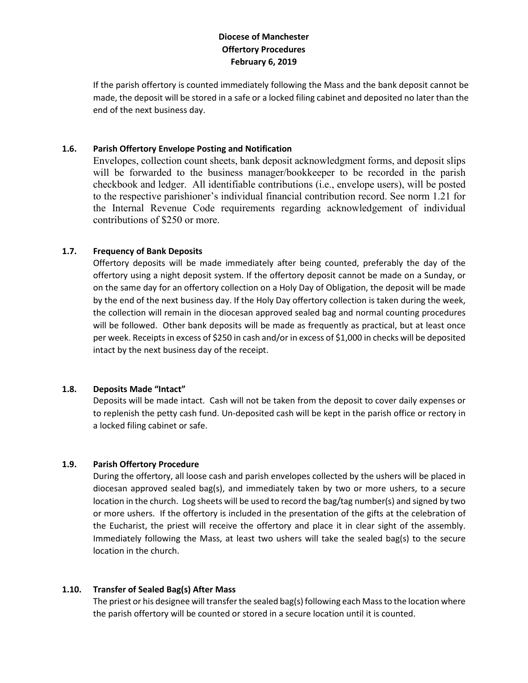If the parish offertory is counted immediately following the Mass and the bank deposit cannot be made, the deposit will be stored in a safe or a locked filing cabinet and deposited no later than the end of the next business day.

## **1.6. Parish Offertory Envelope Posting and Notification**

Envelopes, collection count sheets, bank deposit acknowledgment forms, and deposit slips will be forwarded to the business manager/bookkeeper to be recorded in the parish checkbook and ledger. All identifiable contributions (i.e., envelope users), will be posted to the respective parishioner's individual financial contribution record. See norm 1.21 for the Internal Revenue Code requirements regarding acknowledgement of individual contributions of \$250 or more.

### **1.7. Frequency of Bank Deposits**

Offertory deposits will be made immediately after being counted, preferably the day of the offertory using a night deposit system. If the offertory deposit cannot be made on a Sunday, or on the same day for an offertory collection on a Holy Day of Obligation, the deposit will be made by the end of the next business day. If the Holy Day offertory collection is taken during the week, the collection will remain in the diocesan approved sealed bag and normal counting procedures will be followed. Other bank deposits will be made as frequently as practical, but at least once per week. Receipts in excess of \$250 in cash and/or in excess of \$1,000 in checks will be deposited intact by the next business day of the receipt.

#### **1.8. Deposits Made "Intact"**

Deposits will be made intact. Cash will not be taken from the deposit to cover daily expenses or to replenish the petty cash fund. Un-deposited cash will be kept in the parish office or rectory in a locked filing cabinet or safe.

## **1.9. Parish Offertory Procedure**

During the offertory, all loose cash and parish envelopes collected by the ushers will be placed in diocesan approved sealed bag(s), and immediately taken by two or more ushers, to a secure location in the church. Log sheets will be used to record the bag/tag number(s) and signed by two or more ushers. If the offertory is included in the presentation of the gifts at the celebration of the Eucharist, the priest will receive the offertory and place it in clear sight of the assembly. Immediately following the Mass, at least two ushers will take the sealed bag(s) to the secure location in the church.

#### **1.10. Transfer of Sealed Bag(s) After Mass**

The priest or his designee will transfer the sealed bag(s) following each Mass to the location where the parish offertory will be counted or stored in a secure location until it is counted.